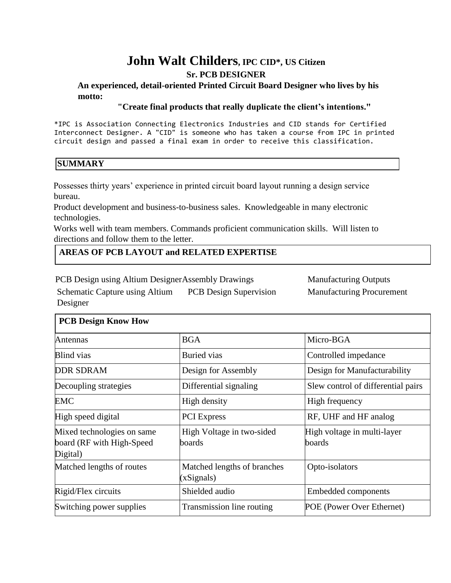# **John Walt Childers, IPC CID\*, US Citizen**

# **Sr. PCB DESIGNER**

#### **An experienced, detail-oriented Printed Circuit Board Designer who lives by his motto:**

#### **"Create final products that really duplicate the client's intentions."**

\*IPC is Association Connecting Electronics Industries and CID stands for Certified Interconnect Designer. A "CID" is someone who has taken a course from IPC in printed circuit design and passed a final exam in order to receive this classification.

#### **SUMMARY**

Possesses thirty years' experience in printed circuit board layout running a design service bureau.

Product development and business-to-business sales. Knowledgeable in many electronic technologies.

Works well with team members. Commands proficient communication skills. Will listen to directions and follow them to the letter.

#### **AREAS OF PCB LAYOUT and RELATED EXPERTISE**

PCB Design using Altium DesignerAssembly Drawings Manufacturing Outputs

Schematic Capture using Altium PCB Design Supervision Designer

Manufacturing Procurement

| <b>PCB Design Know How</b>                                          |                                           |                                       |
|---------------------------------------------------------------------|-------------------------------------------|---------------------------------------|
| Antennas                                                            | <b>BGA</b>                                | Micro-BGA                             |
| <b>Blind</b> vias                                                   | <b>Buried</b> vias                        | Controlled impedance                  |
| <b>DDR SDRAM</b>                                                    | Design for Assembly                       | Design for Manufacturability          |
| Decoupling strategies                                               | Differential signaling                    | Slew control of differential pairs    |
| <b>EMC</b>                                                          | High density                              | High frequency                        |
| High speed digital                                                  | <b>PCI</b> Express                        | RF, UHF and HF analog                 |
| Mixed technologies on same<br>board (RF with High-Speed<br>Digital) | High Voltage in two-sided<br>boards       | High voltage in multi-layer<br>boards |
| Matched lengths of routes                                           | Matched lengths of branches<br>(xSignals) | Opto-isolators                        |
| Rigid/Flex circuits                                                 | Shielded audio                            | <b>Embedded components</b>            |
| Switching power supplies                                            | Transmission line routing                 | POE (Power Over Ethernet)             |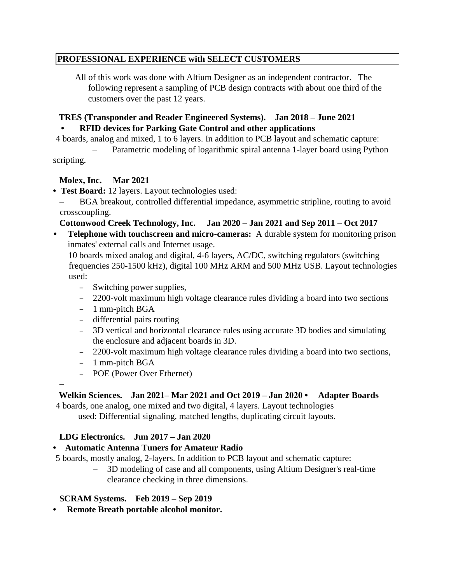# **PROFESSIONAL EXPERIENCE with SELECT CUSTOMERS**

 All of this work was done with Altium Designer as an independent contractor. The following represent a sampling of PCB design contracts with about one third of the customers over the past 12 years.

# **TRES (Transponder and Reader Engineered Systems). Jan 2018 – June 2021**

# **• RFID devices for Parking Gate Control and other applications**

4 boards, analog and mixed, 1 to 6 layers. In addition to PCB layout and schematic capture:

– Parametric modeling of logarithmic spiral antenna 1-layer board using Python scripting.

# **Molex, Inc. Mar 2021**

**• Test Board:** 12 layers. Layout technologies used:

– BGA breakout, controlled differential impedance, asymmetric stripline, routing to avoid crosscoupling.

# **Cottonwood Creek Technology, Inc. Jan 2020 – Jan 2021 and Sep 2011 – Oct 2017**

**• Telephone with touchscreen and micro-cameras:** A durable system for monitoring prison inmates' external calls and Internet usage.

10 boards mixed analog and digital, 4-6 layers, AC/DC, switching regulators (switching frequencies 250-1500 kHz), digital 100 MHz ARM and 500 MHz USB. Layout technologies used:

- Switching power supplies,
- 2200-volt maximum high voltage clearance rules dividing a board into two sections
- 1 mm-pitch BGA
- differential pairs routing
- 3D vertical and horizontal clearance rules using accurate 3D bodies and simulating the enclosure and adjacent boards in 3D.
- 2200-volt maximum high voltage clearance rules dividing a board into two sections,
- 1 mm-pitch BGA

–

– POE (Power Over Ethernet)

# **Welkin Sciences. Jan 2021– Mar 2021 and Oct 2019 – Jan 2020 • Adapter Boards**

4 boards, one analog, one mixed and two digital, 4 layers. Layout technologies used: Differential signaling, matched lengths, duplicating circuit layouts.

# **LDG Electronics. Jun 2017 – Jan 2020**

# **• Automatic Antenna Tuners for Amateur Radio**

- 5 boards, mostly analog, 2-layers. In addition to PCB layout and schematic capture:
	- 3D modeling of case and all components, using Altium Designer's real-time clearance checking in three dimensions.

#### **SCRAM Systems. Feb 2019 – Sep 2019**

**• Remote Breath portable alcohol monitor.**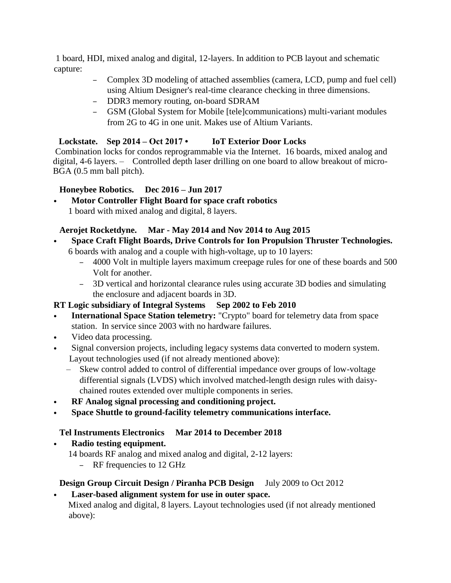1 board, HDI, mixed analog and digital, 12-layers. In addition to PCB layout and schematic capture:

- Complex 3D modeling of attached assemblies (camera, LCD, pump and fuel cell) using Altium Designer's real-time clearance checking in three dimensions.
- DDR3 memory routing, on-board SDRAM
- GSM (Global System for Mobile [tele]communications) multi-variant modules from 2G to 4G in one unit. Makes use of Altium Variants.

# **Lockstate. Sep 2014 – Oct 2017 • IoT Exterior Door Locks**

Combination locks for condos reprogrammable via the Internet. 16 boards, mixed analog and digital, 4-6 layers. – Controlled depth laser drilling on one board to allow breakout of micro-BGA (0.5 mm ball pitch).

# **Honeybee Robotics. Dec 2016 – Jun 2017**

**• Motor Controller Flight Board for space craft robotics** 1 board with mixed analog and digital, 8 layers.

# **Aerojet Rocketdyne. Mar - May 2014 and Nov 2014 to Aug 2015**

- **• Space Craft Flight Boards, Drive Controls for Ion Propulsion Thruster Technologies.** 6 boards with analog and a couple with high-voltage, up to 10 layers:
	- 4000 Volt in multiple layers maximum creepage rules for one of these boards and 500 Volt for another.
	- 3D vertical and horizontal clearance rules using accurate 3D bodies and simulating the enclosure and adjacent boards in 3D.

# **RT Logic subsidiary of Integral Systems Sep 2002 to Feb 2010**

- **• International Space Station telemetry:** "Crypto" board for telemetry data from space station. In service since 2003 with no hardware failures.
- **•** Video data processing.
- **•** Signal conversion projects, including legacy systems data converted to modern system. Layout technologies used (if not already mentioned above):
	- Skew control added to control of differential impedance over groups of low-voltage differential signals (LVDS) which involved matched-length design rules with daisychained routes extended over multiple components in series.
- **• RF Analog signal processing and conditioning project.**
- **• Space Shuttle to ground-facility telemetry communications interface.**

# **Tel Instruments Electronics Mar 2014 to December 2018**

**• Radio testing equipment.**

- 14 boards RF analog and mixed analog and digital, 2-12 layers:
	- RF frequencies to 12 GHz

# **Design Group Circuit Design / Piranha PCB Design** July 2009 to Oct 2012

**• Laser-based alignment system for use in outer space.** Mixed analog and digital, 8 layers. Layout technologies used (if not already mentioned above):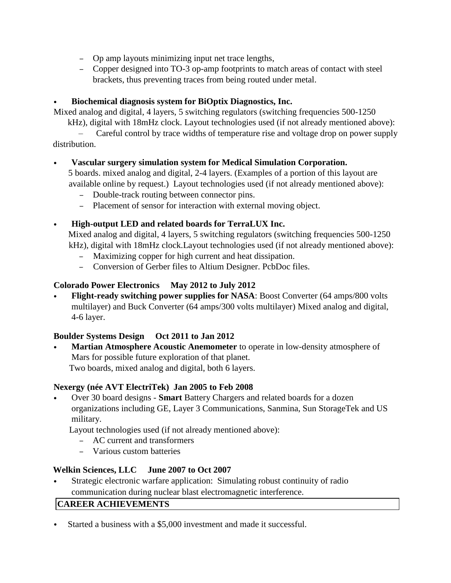- Op amp layouts minimizing input net trace lengths,
- Copper designed into TO-3 op-amp footprints to match areas of contact with steel brackets, thus preventing traces from being routed under metal.

# **• Biochemical diagnosis system for BiOptix Diagnostics, Inc.**

Mixed analog and digital, 4 layers, 5 switching regulators (switching frequencies 500-1250

kHz), digital with 18mHz clock. Layout technologies used (if not already mentioned above):

– Careful control by trace widths of temperature rise and voltage drop on power supply distribution.

# **• Vascular surgery simulation system for Medical Simulation Corporation.**

5 boards. mixed analog and digital, 2-4 layers. (Examples of a portion of this layout are available online by request.) Layout technologies used (if not already mentioned above):

- Double-track routing between connector pins.
- Placement of sensor for interaction with external moving object.

# **• High-output LED and related boards for TerraLUX Inc.**

Mixed analog and digital, 4 layers, 5 switching regulators (switching frequencies 500-1250 kHz), digital with 18mHz clock.Layout technologies used (if not already mentioned above):

- Maximizing copper for high current and heat dissipation.
- Conversion of Gerber files to Altium Designer. PcbDoc files.

# **Colorado Power Electronics May 2012 to July 2012**

**• Flight-ready switching power supplies for NASA**: Boost Converter (64 amps/800 volts multilayer) and Buck Converter (64 amps/300 volts multilayer) Mixed analog and digital, 4-6 layer.

# **Boulder Systems Design Oct 2011 to Jan 2012**

**• Martian Atmosphere Acoustic Anemometer** to operate in low-density atmosphere of Mars for possible future exploration of that planet. Two boards, mixed analog and digital, both 6 layers.

# **Nexergy (née AVT ElectriTek) Jan 2005 to Feb 2008**

**•** Over 30 board designs - **Smart** Battery Chargers and related boards for a dozen organizations including GE, Layer 3 Communications, Sanmina, Sun StorageTek and US military.

Layout technologies used (if not already mentioned above):

- AC current and transformers
- Various custom batteries

# **Welkin Sciences, LLC June 2007 to Oct 2007**

**•** Strategic electronic warfare application: Simulating robust continuity of radio communication during nuclear blast electromagnetic interference.

# **CAREER ACHIEVEMENTS**

• Started a business with a \$5,000 investment and made it successful.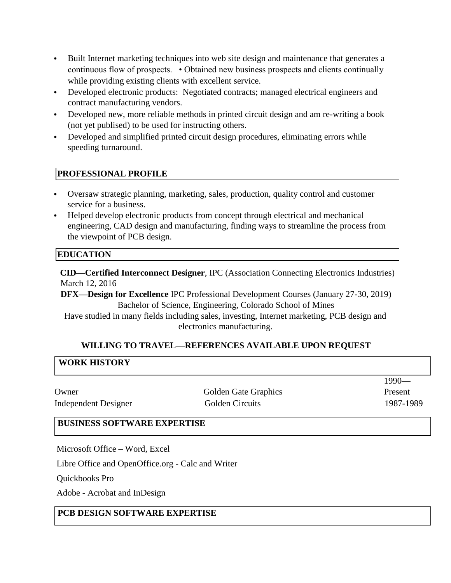- Built Internet marketing techniques into web site design and maintenance that generates a continuous flow of prospects. • Obtained new business prospects and clients continually while providing existing clients with excellent service.
- Developed electronic products: Negotiated contracts; managed electrical engineers and contract manufacturing vendors.
- Developed new, more reliable methods in printed circuit design and am re-writing a book (not yet publised) to be used for instructing others.
- Developed and simplified printed circuit design procedures, eliminating errors while speeding turnaround.

#### **PROFESSIONAL PROFILE**

- Oversaw strategic planning, marketing, sales, production, quality control and customer service for a business.
- Helped develop electronic products from concept through electrical and mechanical engineering, CAD design and manufacturing, finding ways to streamline the process from the viewpoint of PCB design.

# **EDUCATION**

**CID—Certified Interconnect Designer**, IPC (Association Connecting Electronics Industries) March 12, 2016

**DFX—Design for Excellence** IPC Professional Development Courses (January 27-30, 2019) Bachelor of Science, Engineering, Colorado School of Mines

Have studied in many fields including sales, investing, Internet marketing, PCB design and electronics manufacturing.

#### **WILLING TO TRAVEL—REFERENCES AVAILABLE UPON REQUEST**

**WORK HISTORY** Owner Golden Gate Graphics 1990— Present Independent Designer Golden Circuits 1987-1989

# **BUSINESS SOFTWARE EXPERTISE**

Microsoft Office – Word, Excel

Libre Office and OpenOffice.org - Calc and Writer

Quickbooks Pro

Adobe - Acrobat and InDesign

# **PCB DESIGN SOFTWARE EXPERTISE**